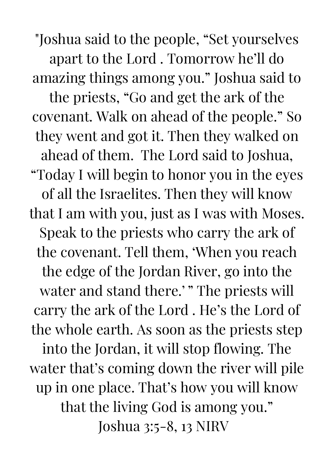"Joshua said to the people, "Set yourselves apart to the Lord . Tomorrow he'll do amazing things among you." Joshua said to the priests, "Go and get the ark of the covenant. Walk on ahead of the people." So they went and got it. Then they walked on ahead of them. The Lord said to Joshua, "Today I will begin to honor you in the eyes of all the Israelites. Then they will know that I am with you, just as I was with Moses. Speak to the priests who carry the ark of the covenant. Tell them, 'When you reach the edge of the Jordan River, go into the water and stand there.'" The priests will carry the ark of the Lord . He's the Lord of the whole earth. As soon as the priests step into the Jordan, it will stop flowing. The water that's coming down the river will pile up in one place. That's how you will know that the living God is among you." Joshua 3:5-8, 13 NIRV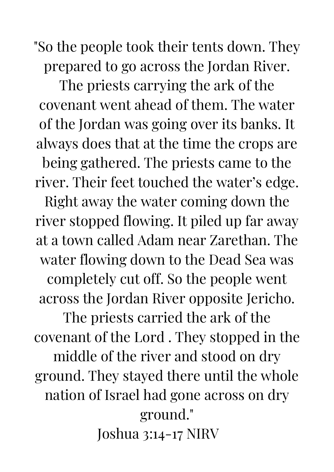"So the people took their tents down. They prepared to go across the Jordan River.

The priests carrying the ark of the covenant went ahead of them. The water of the Jordan was going over its banks. It always does that at the time the crops are being gathered. The priests came to the river. Their feet touched the water's edge. Right away the water coming down the river stopped flowing. It piled up far away at a town called Adam near Zarethan. The water flowing down to the Dead Sea was completely cut off. So the people went across the Jordan River opposite Jericho. The priests carried the ark of the covenant of the Lord . They stopped in the middle of the river and stood on dry ground. They stayed there until the whole nation of Israel had gone across on dry ground." Joshua 3:14-17 NIRV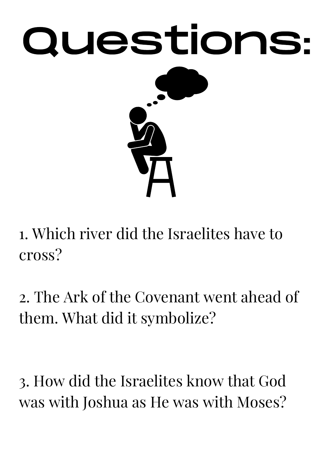

1. Which river did the Israelites have to cross?

2. The Ark of the Covenant went ahead of them. What did it symbolize?

3. How did the Israelites know that God was with Joshua as He was with Moses?